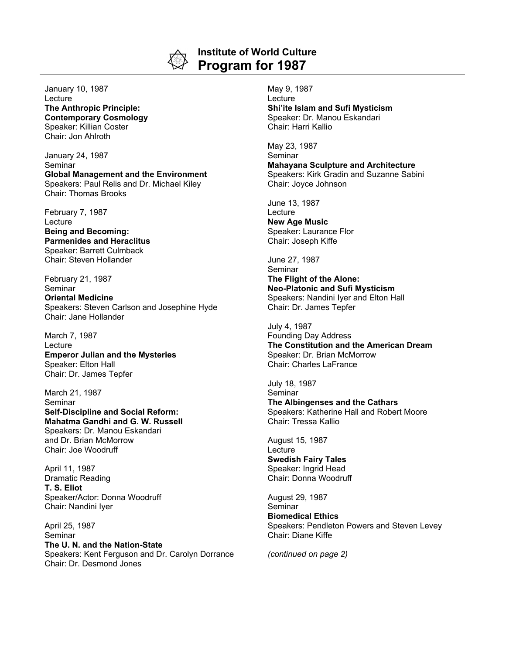

## **Institute of World Culture Program for 1987**

January 10, 1987 Lecture **The Anthropic Principle: Contemporary Cosmology** Speaker: Killian Coster Chair: Jon Ahlroth

January 24, 1987 **Seminar Global Management and the Environment** Speakers: Paul Relis and Dr. Michael Kiley Chair: Thomas Brooks

February 7, 1987 **Lecture Being and Becoming: Parmenides and Heraclitus** Speaker: Barrett Culmback Chair: Steven Hollander

February 21, 1987 Seminar **Oriental Medicine** Speakers: Steven Carlson and Josephine Hyde Chair: Jane Hollander

March 7, 1987 Lecture **Emperor Julian and the Mysteries** Speaker: Elton Hall Chair: Dr. James Tepfer

March 21, 1987 Seminar **Self-Discipline and Social Reform: Mahatma Gandhi and G. W. Russell** Speakers: Dr. Manou Eskandari and Dr. Brian McMorrow Chair: Joe Woodruff

April 11, 1987 Dramatic Reading **T. S. Eliot** Speaker/Actor: Donna Woodruff Chair: Nandini Iyer

April 25, 1987 Seminar **The U. N. and the Nation-State** Speakers: Kent Ferguson and Dr. Carolyn Dorrance Chair: Dr. Desmond Jones

May 9, 1987 Lecture **Shi'ite Islam and Sufi Mysticism** Speaker: Dr. Manou Eskandari Chair: Harri Kallio

May 23, 1987 **Seminar Mahayana Sculpture and Architecture** Speakers: Kirk Gradin and Suzanne Sabini Chair: Joyce Johnson

June 13, 1987 **Lecture New Age Music** Speaker: Laurance Flor Chair: Joseph Kiffe

June 27, 1987 **Seminar The Flight of the Alone: Neo-Platonic and Sufi Mysticism** Speakers: Nandini Iyer and Elton Hall Chair: Dr. James Tepfer

July 4, 1987 Founding Day Address **The Constitution and the American Dream** Speaker: Dr. Brian McMorrow Chair: Charles LaFrance

July 18, 1987 Seminar **The Albingenses and the Cathars** Speakers: Katherine Hall and Robert Moore Chair: Tressa Kallio

August 15, 1987 **Lecture Swedish Fairy Tales** Speaker: Ingrid Head Chair: Donna Woodruff

August 29, 1987 Seminar **Biomedical Ethics** Speakers: Pendleton Powers and Steven Levey Chair: Diane Kiffe

*(continued on page 2)*